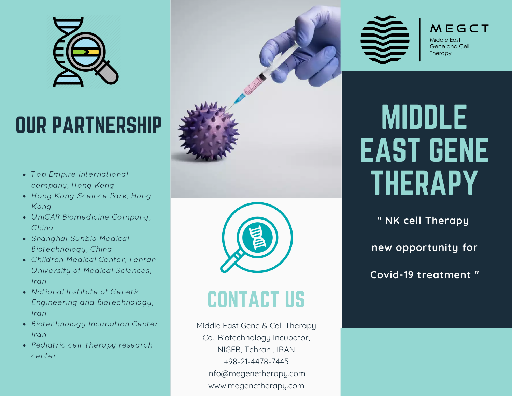

## OUR PARTNERSHIP

- Top Empire International company, Hong Kong
- Hong Kong Sceince Park, Hong Kong
- UniCAR Biomedicine Company, China
- Shanghai Sunbio Medical Biotechnology, China
- Children Medical Center, Tehran University of Medical Sciences, Iran
- National Institute of Genetic Engineering and Biotechnology, Iran
- Biotechnology Incubation Center, Iran
- Pediatric cell therapy research center



## CONTACT US

Middle East Gene & Cell Therapy Co., Biotechnology Incubator, NIGEB, Tehran , IRAN +98-21-4478-7445 info@megenetherapy.com www.megenetherapy.com



 $MFGCT$ Middle Fast Gene and Cell Therapy

# MIDDLE EAST GENE THERAPY

**" NK cell Therapy**

**new opportunity for**

**Covid-19 treatment "**